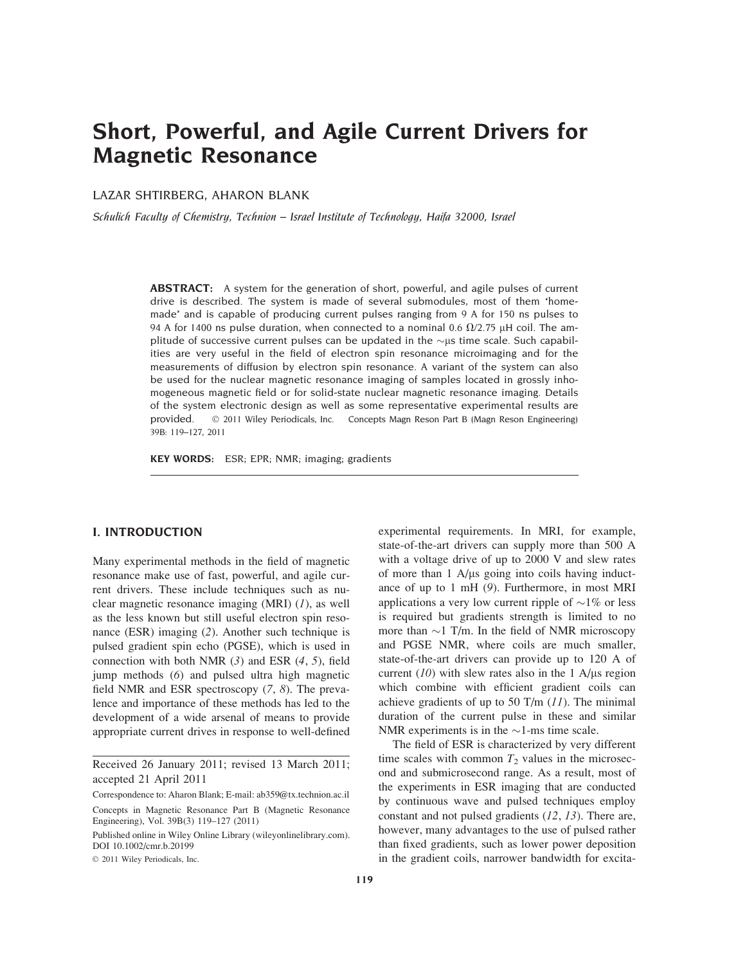# Short, Powerful, and Agile Current Drivers for Magnetic Resonance

LAZAR SHTIRBERG, AHARON BLANK

Schulich Faculty of Chemistry, Technion – Israel Institute of Technology, Haifa 32000, Israel

**ABSTRACT:** A system for the generation of short, powerful, and agile pulses of current drive is described. The system is made of several submodules, most of them 'homemade' and is capable of producing current pulses ranging from 9 A for 150 ns pulses to 94 A for 1400 ns pulse duration, when connected to a nominal 0.6  $\Omega$ /2.75 µH coil. The amplitude of successive current pulses can be updated in the  $\sim \mu s$  time scale. Such capabilities are very useful in the field of electron spin resonance microimaging and for the measurements of diffusion by electron spin resonance. A variant of the system can also be used for the nuclear magnetic resonance imaging of samples located in grossly inhomogeneous magnetic field or for solid-state nuclear magnetic resonance imaging. Details of the system electronic design as well as some representative experimental results are provided. 2011 Wiley Periodicals, Inc. Concepts Magn Reson Part B (Magn Reson Engineering) 39B: 119–127, 2011

KEY WORDS: ESR; EPR; NMR; imaging; gradients

#### I. INTRODUCTION

Many experimental methods in the field of magnetic resonance make use of fast, powerful, and agile current drivers. These include techniques such as nuclear magnetic resonance imaging (MRI)  $(1)$ , as well as the less known but still useful electron spin resonance (ESR) imaging (2). Another such technique is pulsed gradient spin echo (PGSE), which is used in connection with both NMR  $(3)$  and ESR  $(4, 5)$ , field jump methods (6) and pulsed ultra high magnetic field NMR and ESR spectroscopy (7, 8). The prevalence and importance of these methods has led to the development of a wide arsenal of means to provide appropriate current drives in response to well-defined

Received 26 January 2011; revised 13 March 2011; accepted 21 April 2011

Published online in Wiley Online Library (wileyonlinelibrary.com). DOI 10.1002/cmr.b.20199

 $©$  2011 Wiley Periodicals, Inc.

experimental requirements. In MRI, for example, state-of-the-art drivers can supply more than 500 A with a voltage drive of up to 2000 V and slew rates of more than  $1 \text{ A}/\mu s$  going into coils having inductance of up to 1 mH (9). Furthermore, in most MRI applications a very low current ripple of  $\sim$ 1% or less is required but gradients strength is limited to no more than  $\sim$ 1 T/m. In the field of NMR microscopy and PGSE NMR, where coils are much smaller, state-of-the-art drivers can provide up to 120 A of current  $(10)$  with slew rates also in the 1 A/ $\mu$ s region which combine with efficient gradient coils can achieve gradients of up to 50 T/m  $(11)$ . The minimal duration of the current pulse in these and similar NMR experiments is in the  $\sim$ 1-ms time scale.

The field of ESR is characterized by very different time scales with common  $T_2$  values in the microsecond and submicrosecond range. As a result, most of the experiments in ESR imaging that are conducted by continuous wave and pulsed techniques employ constant and not pulsed gradients (12, 13). There are, however, many advantages to the use of pulsed rather than fixed gradients, such as lower power deposition in the gradient coils, narrower bandwidth for excita-

Correspondence to: Aharon Blank; E-mail: ab359@tx.technion.ac.il Concepts in Magnetic Resonance Part B (Magnetic Resonance Engineering), Vol. 39B(3) 119–127 (2011)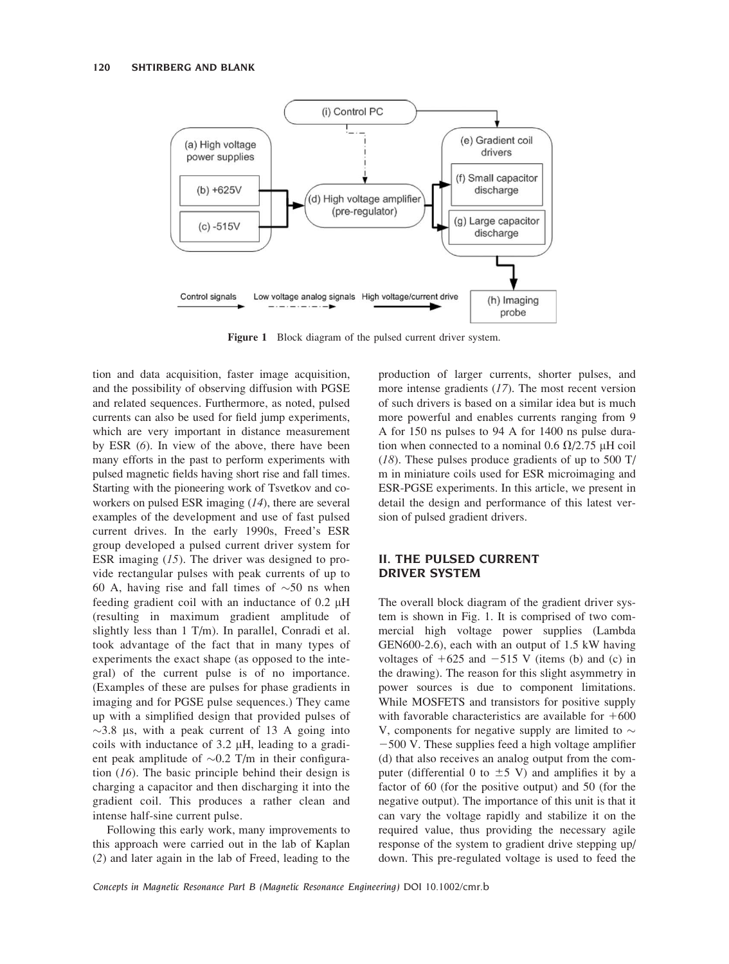

Figure 1 Block diagram of the pulsed current driver system.

tion and data acquisition, faster image acquisition, and the possibility of observing diffusion with PGSE and related sequences. Furthermore, as noted, pulsed currents can also be used for field jump experiments, which are very important in distance measurement by ESR (6). In view of the above, there have been many efforts in the past to perform experiments with pulsed magnetic fields having short rise and fall times. Starting with the pioneering work of Tsvetkov and coworkers on pulsed ESR imaging (14), there are several examples of the development and use of fast pulsed current drives. In the early 1990s, Freed's ESR group developed a pulsed current driver system for ESR imaging  $(15)$ . The driver was designed to provide rectangular pulses with peak currents of up to 60 A, having rise and fall times of  $\sim$ 50 ns when feeding gradient coil with an inductance of  $0.2 \mu$ H (resulting in maximum gradient amplitude of slightly less than 1 T/m). In parallel, Conradi et al. took advantage of the fact that in many types of experiments the exact shape (as opposed to the integral) of the current pulse is of no importance. (Examples of these are pulses for phase gradients in imaging and for PGSE pulse sequences.) They came up with a simplified design that provided pulses of  $\sim$ 3.8 µs, with a peak current of 13 A going into coils with inductance of  $3.2 \mu H$ , leading to a gradient peak amplitude of  $\sim 0.2$  T/m in their configuration  $(16)$ . The basic principle behind their design is charging a capacitor and then discharging it into the gradient coil. This produces a rather clean and intense half-sine current pulse.

Following this early work, many improvements to this approach were carried out in the lab of Kaplan (2) and later again in the lab of Freed, leading to the production of larger currents, shorter pulses, and more intense gradients (17). The most recent version of such drivers is based on a similar idea but is much more powerful and enables currents ranging from 9 A for 150 ns pulses to 94 A for 1400 ns pulse duration when connected to a nominal 0.6  $\Omega$ /2.75 µH coil (18). These pulses produce gradients of up to 500 T/ m in miniature coils used for ESR microimaging and ESR-PGSE experiments. In this article, we present in detail the design and performance of this latest version of pulsed gradient drivers.

## II. THE PULSED CURRENT DRIVER SYSTEM

The overall block diagram of the gradient driver system is shown in Fig. 1. It is comprised of two commercial high voltage power supplies (Lambda GEN600-2.6), each with an output of 1.5 kW having voltages of  $+625$  and  $-515$  V (items (b) and (c) in the drawing). The reason for this slight asymmetry in power sources is due to component limitations. While MOSFETS and transistors for positive supply with favorable characteristics are available for  $+600$ V, components for negative supply are limited to  $\sim$  $-500$  V. These supplies feed a high voltage amplifier (d) that also receives an analog output from the computer (differential 0 to  $\pm$  5 V) and amplifies it by a factor of 60 (for the positive output) and 50 (for the negative output). The importance of this unit is that it can vary the voltage rapidly and stabilize it on the required value, thus providing the necessary agile response of the system to gradient drive stepping up/ down. This pre-regulated voltage is used to feed the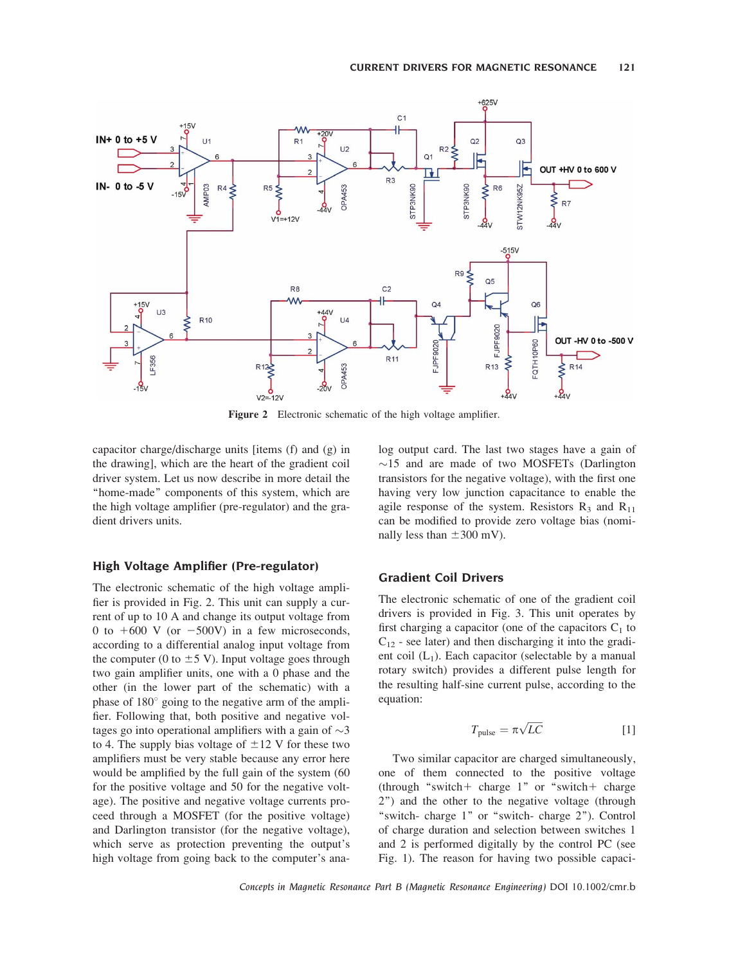

Figure 2 Electronic schematic of the high voltage amplifier.

capacitor charge/discharge units [items (f) and (g) in the drawing], which are the heart of the gradient coil driver system. Let us now describe in more detail the "home-made" components of this system, which are the high voltage amplifier (pre-regulator) and the gradient drivers units.

log output card. The last two stages have a gain of  $\sim$ 15 and are made of two MOSFETs (Darlington transistors for the negative voltage), with the first one having very low junction capacitance to enable the agile response of the system. Resistors  $R_3$  and  $R_{11}$ can be modified to provide zero voltage bias (nominally less than  $\pm 300$  mV).

## High Voltage Amplifier (Pre-regulator)

The electronic schematic of the high voltage amplifier is provided in Fig. 2. This unit can supply a current of up to 10 A and change its output voltage from 0 to  $+600$  V (or  $-500V$ ) in a few microseconds, according to a differential analog input voltage from the computer (0 to  $\pm$  5 V). Input voltage goes through two gain amplifier units, one with a 0 phase and the other (in the lower part of the schematic) with a phase of  $180^\circ$  going to the negative arm of the amplifier. Following that, both positive and negative voltages go into operational amplifiers with a gain of  $\sim$ 3 to 4. The supply bias voltage of  $\pm 12$  V for these two amplifiers must be very stable because any error here would be amplified by the full gain of the system (60 for the positive voltage and 50 for the negative voltage). The positive and negative voltage currents proceed through a MOSFET (for the positive voltage) and Darlington transistor (for the negative voltage), which serve as protection preventing the output's high voltage from going back to the computer's ana-

# Gradient Coil Drivers

The electronic schematic of one of the gradient coil drivers is provided in Fig. 3. This unit operates by first charging a capacitor (one of the capacitors  $C_1$  to  $C_{12}$  - see later) and then discharging it into the gradient coil  $(L_1)$ . Each capacitor (selectable by a manual rotary switch) provides a different pulse length for the resulting half-sine current pulse, according to the equation:

$$
T_{\text{pulse}} = \pi \sqrt{LC} \tag{1}
$$

Two similar capacitor are charged simultaneously, one of them connected to the positive voltage (through "switch+ charge  $1$ " or "switch+ charge 2'') and the other to the negative voltage (through "switch- charge 1" or "switch- charge 2"). Control of charge duration and selection between switches 1 and 2 is performed digitally by the control PC (see Fig. 1). The reason for having two possible capaci-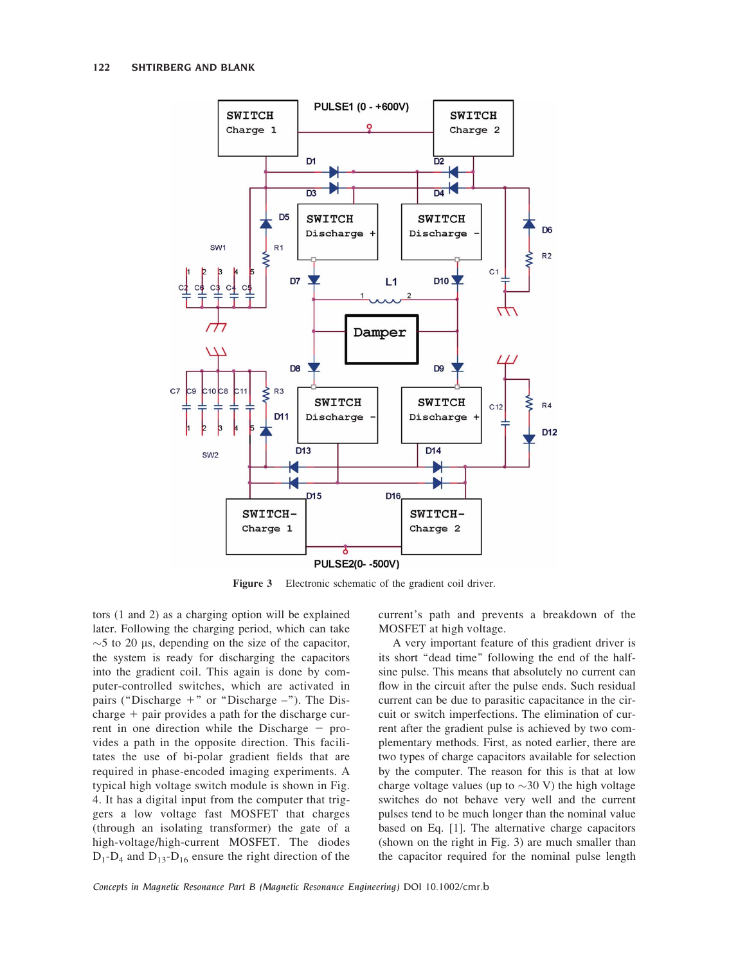

Figure 3 Electronic schematic of the gradient coil driver.

tors (1 and 2) as a charging option will be explained later. Following the charging period, which can take  $\sim$  5 to 20 µs, depending on the size of the capacitor, the system is ready for discharging the capacitors into the gradient coil. This again is done by computer-controlled switches, which are activated in pairs ("Discharge  $+$ " or "Discharge  $-$ "). The Discharge  $+$  pair provides a path for the discharge current in one direction while the Discharge  $-$  provides a path in the opposite direction. This facilitates the use of bi-polar gradient fields that are required in phase-encoded imaging experiments. A typical high voltage switch module is shown in Fig. 4. It has a digital input from the computer that triggers a low voltage fast MOSFET that charges (through an isolating transformer) the gate of a high-voltage/high-current MOSFET. The diodes  $D_1$ - $D_4$  and  $D_{13}$ - $D_{16}$  ensure the right direction of the

current's path and prevents a breakdown of the MOSFET at high voltage.

A very important feature of this gradient driver is its short "dead time" following the end of the halfsine pulse. This means that absolutely no current can flow in the circuit after the pulse ends. Such residual current can be due to parasitic capacitance in the circuit or switch imperfections. The elimination of current after the gradient pulse is achieved by two complementary methods. First, as noted earlier, there are two types of charge capacitors available for selection by the computer. The reason for this is that at low charge voltage values (up to  $\sim$ 30 V) the high voltage switches do not behave very well and the current pulses tend to be much longer than the nominal value based on Eq. [1]. The alternative charge capacitors (shown on the right in Fig. 3) are much smaller than the capacitor required for the nominal pulse length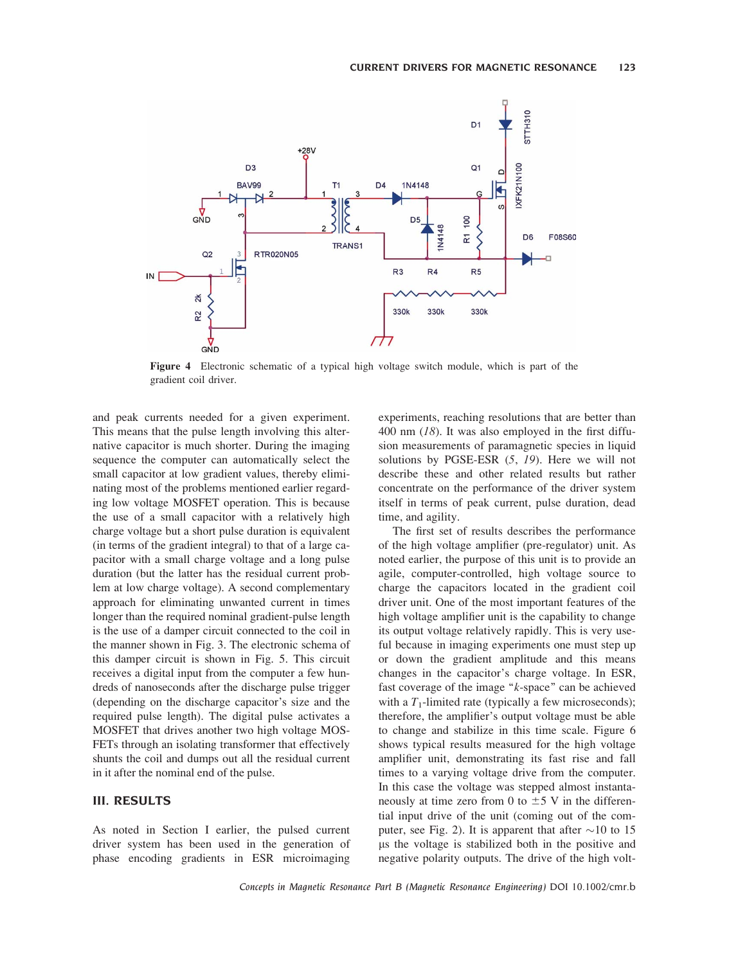

Figure 4 Electronic schematic of a typical high voltage switch module, which is part of the gradient coil driver.

and peak currents needed for a given experiment. This means that the pulse length involving this alternative capacitor is much shorter. During the imaging sequence the computer can automatically select the small capacitor at low gradient values, thereby eliminating most of the problems mentioned earlier regarding low voltage MOSFET operation. This is because the use of a small capacitor with a relatively high charge voltage but a short pulse duration is equivalent (in terms of the gradient integral) to that of a large capacitor with a small charge voltage and a long pulse duration (but the latter has the residual current problem at low charge voltage). A second complementary approach for eliminating unwanted current in times longer than the required nominal gradient-pulse length is the use of a damper circuit connected to the coil in the manner shown in Fig. 3. The electronic schema of this damper circuit is shown in Fig. 5. This circuit receives a digital input from the computer a few hundreds of nanoseconds after the discharge pulse trigger (depending on the discharge capacitor's size and the required pulse length). The digital pulse activates a MOSFET that drives another two high voltage MOS-FETs through an isolating transformer that effectively shunts the coil and dumps out all the residual current in it after the nominal end of the pulse.

## III. RESULTS

As noted in Section I earlier, the pulsed current driver system has been used in the generation of phase encoding gradients in ESR microimaging experiments, reaching resolutions that are better than 400 nm  $(18)$ . It was also employed in the first diffusion measurements of paramagnetic species in liquid solutions by PGSE-ESR  $(5, 19)$ . Here we will not describe these and other related results but rather concentrate on the performance of the driver system itself in terms of peak current, pulse duration, dead time, and agility.

The first set of results describes the performance of the high voltage amplifier (pre-regulator) unit. As noted earlier, the purpose of this unit is to provide an agile, computer-controlled, high voltage source to charge the capacitors located in the gradient coil driver unit. One of the most important features of the high voltage amplifier unit is the capability to change its output voltage relatively rapidly. This is very useful because in imaging experiments one must step up or down the gradient amplitude and this means changes in the capacitor's charge voltage. In ESR, fast coverage of the image " $k$ -space" can be achieved with a  $T_1$ -limited rate (typically a few microseconds); therefore, the amplifier's output voltage must be able to change and stabilize in this time scale. Figure 6 shows typical results measured for the high voltage amplifier unit, demonstrating its fast rise and fall times to a varying voltage drive from the computer. In this case the voltage was stepped almost instantaneously at time zero from 0 to  $\pm$  5 V in the differential input drive of the unit (coming out of the computer, see Fig. 2). It is apparent that after  $\sim$ 10 to 15 ls the voltage is stabilized both in the positive and negative polarity outputs. The drive of the high volt-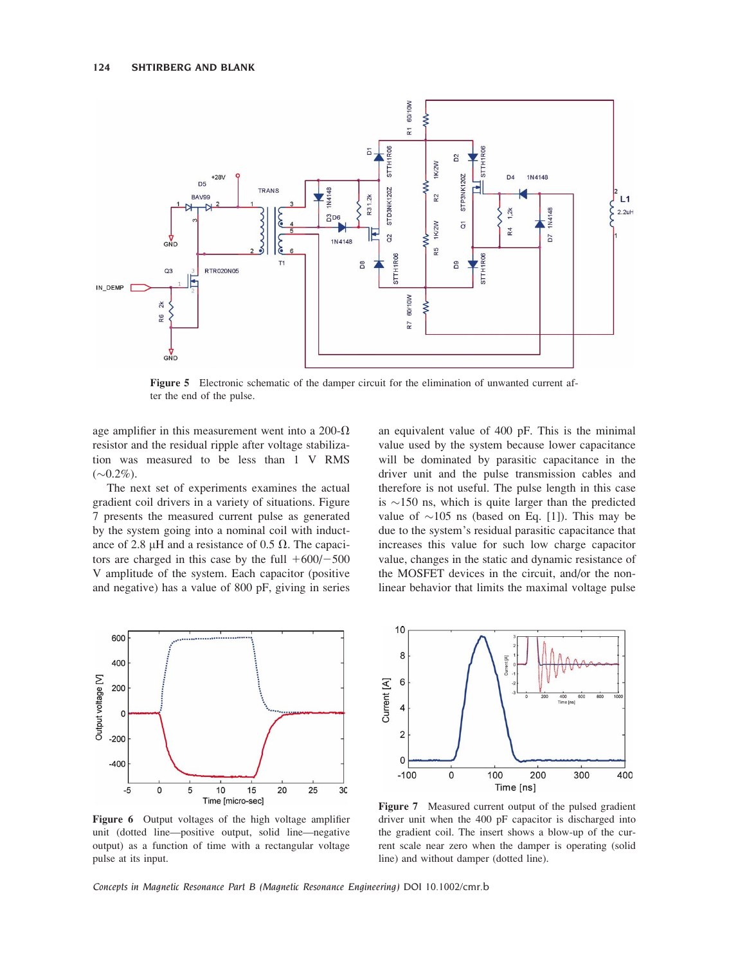

Figure 5 Electronic schematic of the damper circuit for the elimination of unwanted current after the end of the pulse.

10

8

age amplifier in this measurement went into a 200- $\Omega$ resistor and the residual ripple after voltage stabilization was measured to be less than 1 V RMS  $(\sim 0.2\%)$ .

The next set of experiments examines the actual gradient coil drivers in a variety of situations. Figure 7 presents the measured current pulse as generated by the system going into a nominal coil with inductance of 2.8  $\mu$ H and a resistance of 0.5  $\Omega$ . The capacitors are charged in this case by the full  $+600/-500$ V amplitude of the system. Each capacitor (positive and negative) has a value of 800 pF, giving in series

an equivalent value of 400 pF. This is the minimal value used by the system because lower capacitance will be dominated by parasitic capacitance in the driver unit and the pulse transmission cables and therefore is not useful. The pulse length in this case is  $\sim$ 150 ns, which is quite larger than the predicted value of  $\sim$ 105 ns (based on Eq. [1]). This may be due to the system's residual parasitic capacitance that increases this value for such low charge capacitor value, changes in the static and dynamic resistance of the MOSFET devices in the circuit, and/or the nonlinear behavior that limits the maximal voltage pulse



Current [A] 6  $\overline{\mathbf{4}}$  $\overline{\mathbf{c}}$ 0  $-100$  $\pmb{0}$ 100 200 300 400 Time [ns]

Figure 6 Output voltages of the high voltage amplifier unit (dotted line—positive output, solid line—negative output) as a function of time with a rectangular voltage pulse at its input.

Figure 7 Measured current output of the pulsed gradient driver unit when the 400 pF capacitor is discharged into the gradient coil. The insert shows a blow-up of the current scale near zero when the damper is operating (solid line) and without damper (dotted line).

<sup>C</sup>oncepts in <sup>M</sup>agnetic <sup>R</sup>esonance <sup>P</sup>art <sup>B</sup> (Magnetic <sup>R</sup>esonance <sup>E</sup>ngineering) DOI 10.1002/cmr.b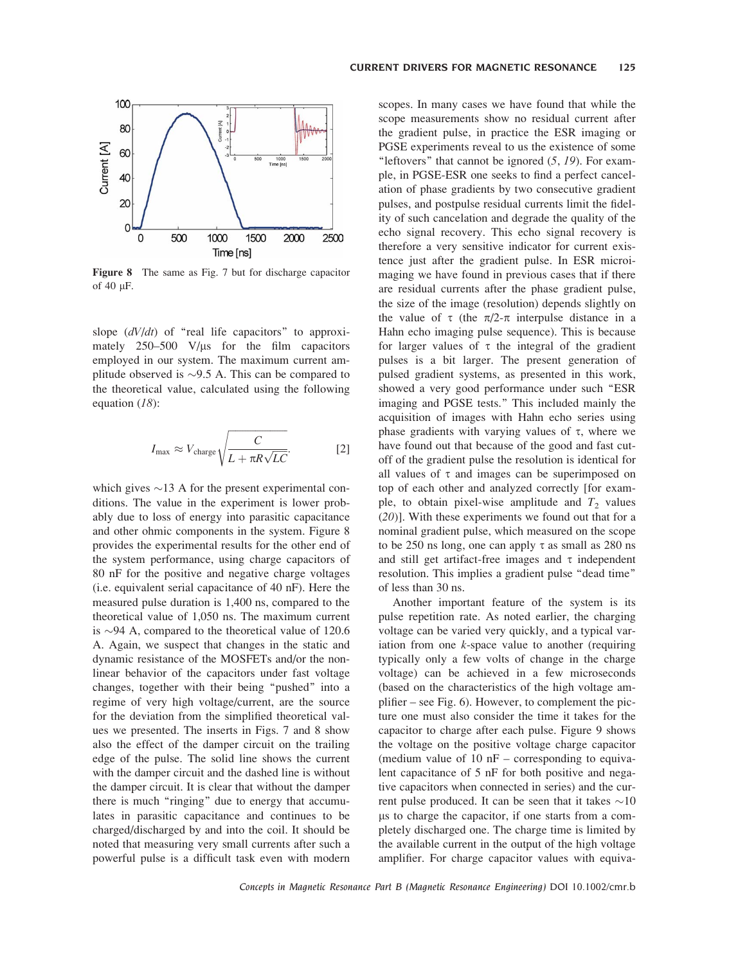

Figure 8 The same as Fig. 7 but for discharge capacitor of  $40 \mu F$ .

slope  $(dV/dt)$  of "real life capacitors" to approximately  $250-500$  V/ $\mu$ s for the film capacitors employed in our system. The maximum current amplitude observed is  $\sim$ 9.5 A. This can be compared to the theoretical value, calculated using the following equation (18):

$$
I_{\text{max}} \approx V_{\text{charge}} \sqrt{\frac{C}{L + \pi R \sqrt{LC}}}.
$$
 [2]

which gives  $\sim$ 13 A for the present experimental conditions. The value in the experiment is lower probably due to loss of energy into parasitic capacitance and other ohmic components in the system. Figure 8 provides the experimental results for the other end of the system performance, using charge capacitors of 80 nF for the positive and negative charge voltages (i.e. equivalent serial capacitance of 40 nF). Here the measured pulse duration is 1,400 ns, compared to the theoretical value of 1,050 ns. The maximum current is  $\sim$ 94 A, compared to the theoretical value of 120.6 A. Again, we suspect that changes in the static and dynamic resistance of the MOSFETs and/or the nonlinear behavior of the capacitors under fast voltage changes, together with their being "pushed" into a regime of very high voltage/current, are the source for the deviation from the simplified theoretical values we presented. The inserts in Figs. 7 and 8 show also the effect of the damper circuit on the trailing edge of the pulse. The solid line shows the current with the damper circuit and the dashed line is without the damper circuit. It is clear that without the damper there is much "ringing" due to energy that accumulates in parasitic capacitance and continues to be charged/discharged by and into the coil. It should be noted that measuring very small currents after such a powerful pulse is a difficult task even with modern

scopes. In many cases we have found that while the scope measurements show no residual current after the gradient pulse, in practice the ESR imaging or PGSE experiments reveal to us the existence of some "leftovers" that cannot be ignored  $(5, 19)$ . For example, in PGSE-ESR one seeks to find a perfect cancelation of phase gradients by two consecutive gradient pulses, and postpulse residual currents limit the fidelity of such cancelation and degrade the quality of the echo signal recovery. This echo signal recovery is therefore a very sensitive indicator for current existence just after the gradient pulse. In ESR microimaging we have found in previous cases that if there are residual currents after the phase gradient pulse, the size of the image (resolution) depends slightly on the value of  $\tau$  (the  $\pi/2-\pi$  interpulse distance in a Hahn echo imaging pulse sequence). This is because for larger values of  $\tau$  the integral of the gradient pulses is a bit larger. The present generation of pulsed gradient systems, as presented in this work, showed a very good performance under such ''ESR imaging and PGSE tests.'' This included mainly the acquisition of images with Hahn echo series using phase gradients with varying values of  $\tau$ , where we have found out that because of the good and fast cutoff of the gradient pulse the resolution is identical for all values of  $\tau$  and images can be superimposed on top of each other and analyzed correctly [for example, to obtain pixel-wise amplitude and  $T_2$  values (20)]. With these experiments we found out that for a nominal gradient pulse, which measured on the scope to be 250 ns long, one can apply  $\tau$  as small as 280 ns and still get artifact-free images and  $\tau$  independent resolution. This implies a gradient pulse "dead time" of less than 30 ns.

Another important feature of the system is its pulse repetition rate. As noted earlier, the charging voltage can be varied very quickly, and a typical variation from one  $k$ -space value to another (requiring typically only a few volts of change in the charge voltage) can be achieved in a few microseconds (based on the characteristics of the high voltage amplifier – see Fig. 6). However, to complement the picture one must also consider the time it takes for the capacitor to charge after each pulse. Figure 9 shows the voltage on the positive voltage charge capacitor (medium value of 10 nF – corresponding to equivalent capacitance of 5 nF for both positive and negative capacitors when connected in series) and the current pulse produced. It can be seen that it takes  $\sim 10$ ls to charge the capacitor, if one starts from a completely discharged one. The charge time is limited by the available current in the output of the high voltage amplifier. For charge capacitor values with equiva-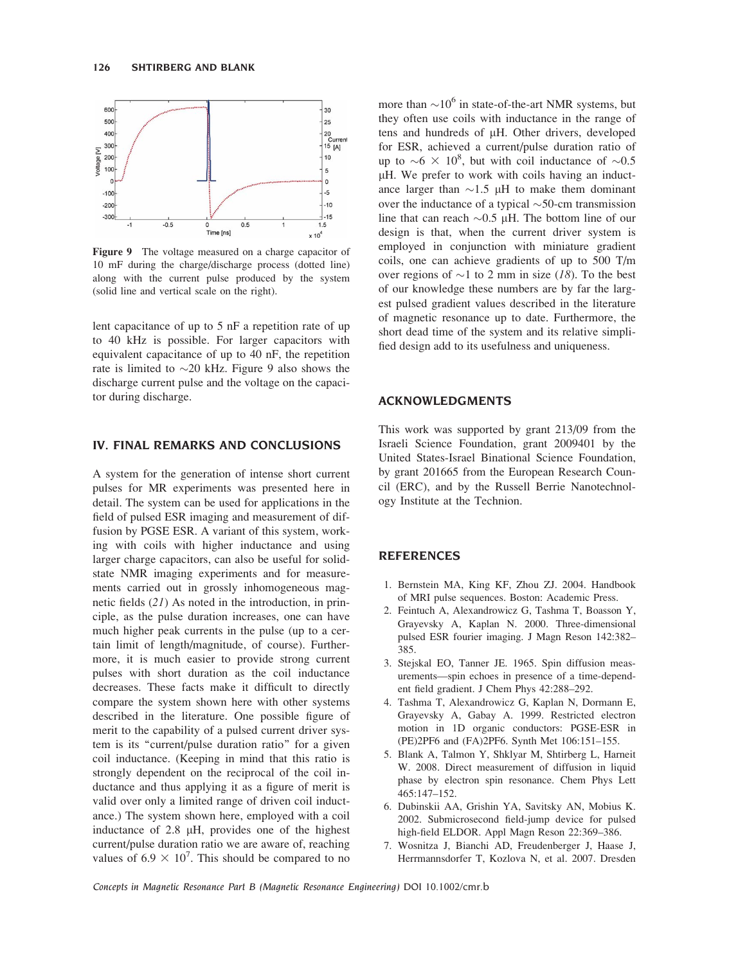

Figure 9 The voltage measured on a charge capacitor of 10 mF during the charge/discharge process (dotted line) along with the current pulse produced by the system (solid line and vertical scale on the right).

lent capacitance of up to 5 nF a repetition rate of up to 40 kHz is possible. For larger capacitors with equivalent capacitance of up to 40 nF, the repetition rate is limited to  $\sim$ 20 kHz. Figure 9 also shows the discharge current pulse and the voltage on the capacitor during discharge.

#### IV. FINAL REMARKS AND CONCLUSIONS

A system for the generation of intense short current pulses for MR experiments was presented here in detail. The system can be used for applications in the field of pulsed ESR imaging and measurement of diffusion by PGSE ESR. A variant of this system, working with coils with higher inductance and using larger charge capacitors, can also be useful for solidstate NMR imaging experiments and for measurements carried out in grossly inhomogeneous magnetic fields (21) As noted in the introduction, in principle, as the pulse duration increases, one can have much higher peak currents in the pulse (up to a certain limit of length/magnitude, of course). Furthermore, it is much easier to provide strong current pulses with short duration as the coil inductance decreases. These facts make it difficult to directly compare the system shown here with other systems described in the literature. One possible figure of merit to the capability of a pulsed current driver system is its "current/pulse duration ratio" for a given coil inductance. (Keeping in mind that this ratio is strongly dependent on the reciprocal of the coil inductance and thus applying it as a figure of merit is valid over only a limited range of driven coil inductance.) The system shown here, employed with a coil inductance of  $2.8 \mu H$ , provides one of the highest current/pulse duration ratio we are aware of, reaching values of  $6.9 \times 10^7$ . This should be compared to no

more than  $\sim 10^6$  in state-of-the-art NMR systems, but they often use coils with inductance in the range of tens and hundreds of  $\mu$ H. Other drivers, developed for ESR, achieved a current/pulse duration ratio of up to  $\sim 6 \times 10^8$ , but with coil inductance of  $\sim 0.5$ µH. We prefer to work with coils having an inductance larger than  $\sim$ 1.5  $\mu$ H to make them dominant over the inductance of a typical  $\sim$ 50-cm transmission line that can reach  $\sim 0.5$  µH. The bottom line of our design is that, when the current driver system is employed in conjunction with miniature gradient coils, one can achieve gradients of up to 500 T/m over regions of  $\sim$ 1 to 2 mm in size (18). To the best of our knowledge these numbers are by far the largest pulsed gradient values described in the literature of magnetic resonance up to date. Furthermore, the short dead time of the system and its relative simplified design add to its usefulness and uniqueness.

## ACKNOWLEDGMENTS

This work was supported by grant 213/09 from the Israeli Science Foundation, grant 2009401 by the United States-Israel Binational Science Foundation, by grant 201665 from the European Research Council (ERC), and by the Russell Berrie Nanotechnology Institute at the Technion.

## REFERENCES

- 1. Bernstein MA, King KF, Zhou ZJ. 2004. Handbook of MRI pulse sequences. Boston: Academic Press.
- 2. Feintuch A, Alexandrowicz G, Tashma T, Boasson Y, Grayevsky A, Kaplan N. 2000. Three-dimensional pulsed ESR fourier imaging. J Magn Reson 142:382– 385.
- 3. Stejskal EO, Tanner JE. 1965. Spin diffusion measurements—spin echoes in presence of a time-dependent field gradient. J Chem Phys 42:288–292.
- 4. Tashma T, Alexandrowicz G, Kaplan N, Dormann E, Grayevsky A, Gabay A. 1999. Restricted electron motion in 1D organic conductors: PGSE-ESR in (PE)2PF6 and (FA)2PF6. Synth Met 106:151–155.
- 5. Blank A, Talmon Y, Shklyar M, Shtirberg L, Harneit W. 2008. Direct measurement of diffusion in liquid phase by electron spin resonance. Chem Phys Lett 465:147–152.
- 6. Dubinskii AA, Grishin YA, Savitsky AN, Mobius K. 2002. Submicrosecond field-jump device for pulsed high-field ELDOR. Appl Magn Reson 22:369–386.
- 7. Wosnitza J, Bianchi AD, Freudenberger J, Haase J, Herrmannsdorfer T, Kozlova N, et al. 2007. Dresden

<sup>C</sup>oncepts in <sup>M</sup>agnetic <sup>R</sup>esonance <sup>P</sup>art <sup>B</sup> (Magnetic <sup>R</sup>esonance <sup>E</sup>ngineering) DOI 10.1002/cmr.b